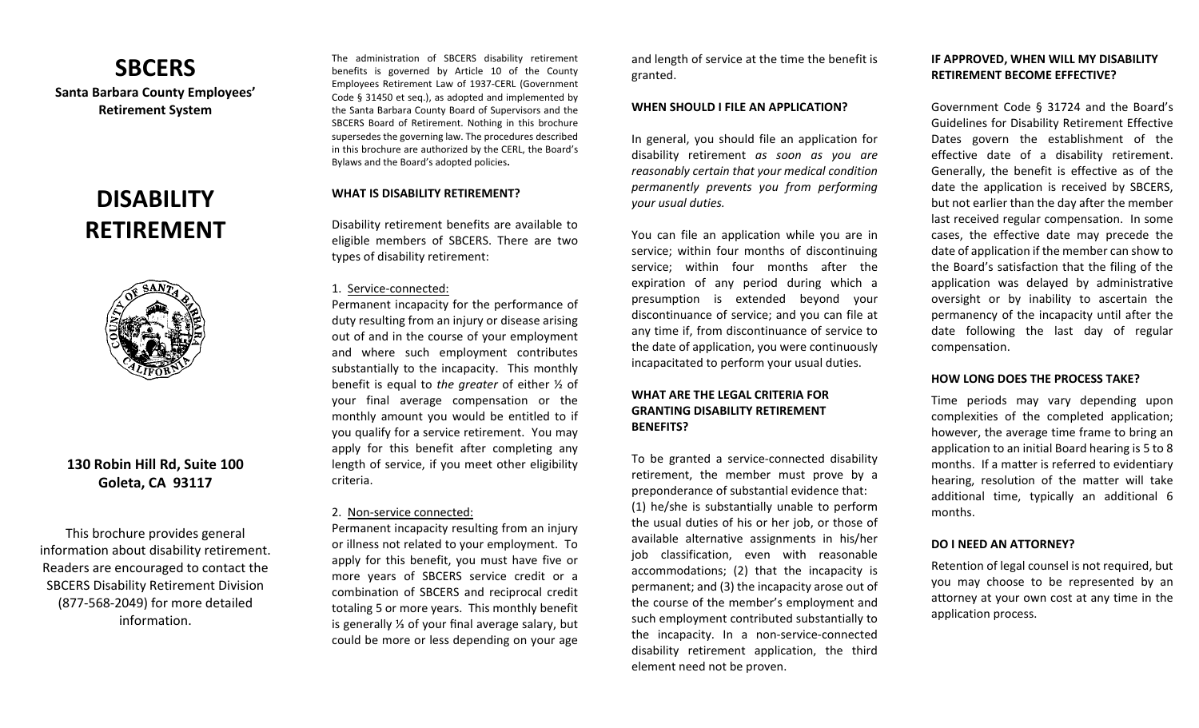## **SBCERS**

**Santa Barbara County Employees' Retirement System** 

# **DISABILITY RETIREMENT**



## **130 Robin Hill Rd, Suite 100 Goleta, CA 93117**

This brochure provides general information about disability retirement. Readers are encouraged to contact the SBCERS Disability Retirement Division (877‐568‐2049) for more detailed information.

The administration of SBCERS disability retirement benefits is governed by Article 10 of the County Employees Retirement Law of 1937‐CERL (Government Code § 31450 et seq.), as adopted and implemented by the Santa Barbara County Board of Supervisors and the SBCERS Board of Retirement. Nothing in this brochure supersedes the governing law. The procedures described in this brochure are authorized by the CERL, the Board's Bylaws and the Board's adopted policies**.** 

## **WHAT IS DISABILITY RETIREMENT?**

Disability retirement benefits are available to eligible members of SBCERS. There are two types of disability retirement:

#### 1. Service‐connected:

Permanent incapacity for the performance of duty resulting from an injury or disease arising out of and in the course of your employment and where such employment contributes substantially to the incapacity. This monthly benefit is equal to *the greater* of either ½ of your final average compensation or the monthly amount you would be entitled to if you qualify for a service retirement. You may apply for this benefit after completing any length of service, if you meet other eligibility criteria.

## 2. Non‐service connected:

Permanent incapacity resulting from an injury or illness not related to your employment. To apply for this benefit, you must have five or more years of SBCERS service credit or <sup>a</sup> combination of SBCERS and reciprocal credit totaling 5 or more years. This monthly benefit is generally ⅓ of your final average salary, but could be more or less depending on your age

and length of service at the time the benefit is granted.

#### **WHEN SHOULD I FILE AN APPLICATION?**

In general, you should file an application for disability retirement *as soon as you are reasonably certain that your medical condition permanently prevents you from performing your usual duties.* 

You can file an application while you are in service; within four months of discontinuing service; within four months after the expiration of any period during which <sup>a</sup> presumption is extended beyond your discontinuance of service; and you can file at any time if, from discontinuance of service to the date of application, you were continuously incapacitated to perform your usual duties.

## **WHAT ARE THE LEGAL CRITERIA FOR GRANTING DISABILITY RETIREMENT BENEFITS?**

To be granted <sup>a</sup> service‐connected disability retirement, the member must prove by a preponderance of substantial evidence that: (1) he/she is substantially unable to perform the usual duties of his or her job, or those of available alternative assignments in his/her job classification, even with reasonable accommodations; (2) that the incapacity is permanent; and (3) the incapacity arose out of the course of the member's employment and such employment contributed substantially to the incapacity. In <sup>a</sup> non‐service‐connected disability retirement application, the third element need not be proven.

## **IF APPROVED, WHEN WILL MY DISABILITY RETIREMENT BECOME EFFECTIVE?**

Government Code § 31724 and the Board's Guidelines for Disability Retirement Effective Dates govern the establishment of the effective date of <sup>a</sup> disability retirement. Generally, the benefit is effective as of the date the application is received by SBCERS, but not earlier than the day after the member last received regular compensation. In some cases, the effective date may precede the date of application if the member can show to the Board's satisfaction that the filing of the application was delayed by administrative oversight or by inability to ascertain the permanency of the incapacity until after the date following the last day of regular compensation.

## **HOW LONG DOES THE PROCESS TAKE?**

Time periods may vary depending upon complexities of the completed application; however, the average time frame to bring an application to an initial Board hearing is 5 to 8 months. If a matter is referred to evidentiary hearing, resolution of the matter will take additional time, typically an additional 6 months.

#### **DO I NEED AN ATTORNEY?**

Retention of legal counsel is not required, but you may choose to be represented by an attorney at your own cost at any time in the application process.